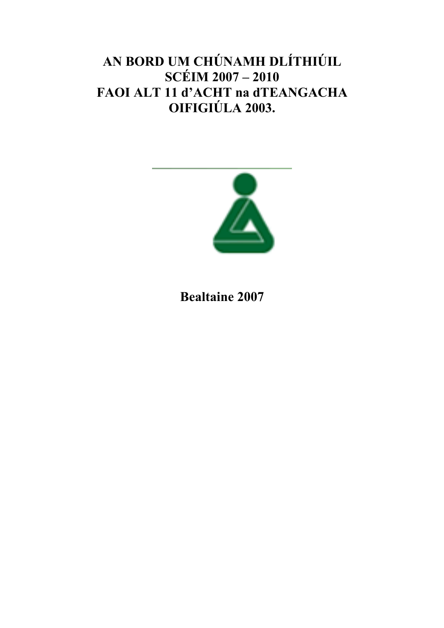# AN BORD UM CHÚNAMH DLÍTHIÚIL SCÉIM 2007 – 2010 FAOI ALT 11 d'ACHT na dTEANGACHA OIFIGIÚLA 2003.



# Bealtaine 2007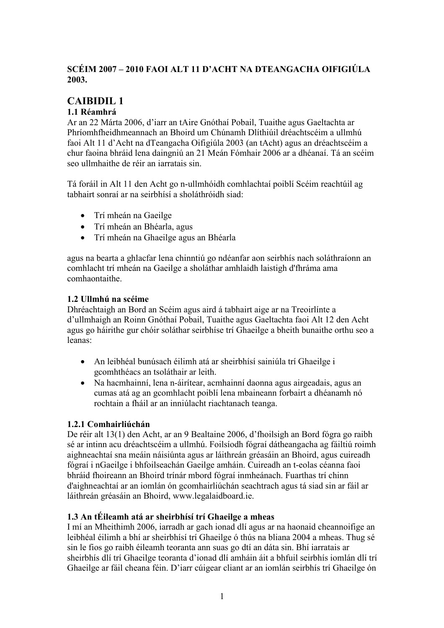### SCÉIM 2007 – 2010 FAOI ALT 11 D'ACHT NA DTEANGACHA OIFIGIÚLA 2003.

## CAIBIDIL 1

#### 1.1 Réamhrá

Ar an 22 Márta 2006, d'iarr an tAire Gnóthaí Pobail, Tuaithe agus Gaeltachta ar Phríomhfheidhmeannach an Bhoird um Chúnamh Dlíthiúil dréachtscéim a ullmhú faoi Alt 11 d'Acht na dTeangacha Oifigiúla 2003 (an tAcht) agus an dréachtscéim a chur faoina bhráid lena daingniú an 21 Meán Fómhair 2006 ar a dhéanaí. Tá an scéim seo ullmhaithe de réir an iarratais sin.

Tá foráil in Alt 11 den Acht go n-ullmhóidh comhlachtaí poiblí Scéim reachtúil ag tabhairt sonraí ar na seirbhísí a sholáthróidh siad:

- Trí mheán na Gaeilge
- Trí mheán an Bhéarla, agus
- Trí mheán na Ghaeilge agus an Bhéarla

agus na bearta a ghlacfar lena chinntiú go ndéanfar aon seirbhís nach soláthraíonn an comhlacht trí mheán na Gaeilge a sholáthar amhlaidh laistigh d'fhráma ama comhaontaithe.

#### 1.2 Ullmhú na scéime

Dhréachtaigh an Bord an Scéim agus aird á tabhairt aige ar na Treoirlínte a d'ullmhaigh an Roinn Gnóthaí Pobail, Tuaithe agus Gaeltachta faoi Alt 12 den Acht agus go háirithe gur chóir soláthar seirbhíse trí Ghaeilge a bheith bunaithe orthu seo a leanas:

- An leibhéal bunúsach éilimh atá ar sheirbhísí sainiúla trí Ghaeilge i gcomhthéacs an tsoláthair ar leith.
- Na hacmhainní, lena n-áirítear, acmhainní daonna agus airgeadais, agus an cumas atá ag an gcomhlacht poiblí lena mbaineann forbairt a dhéanamh nó rochtain a fháil ar an inniúlacht riachtanach teanga.

#### 1.2.1 Comhairliúchán

De réir alt 13(1) den Acht, ar an 9 Bealtaine 2006, d'fhoilsigh an Bord fógra go raibh sé ar intinn acu dréachtscéim a ullmhú. Foilsíodh fógraí dátheangacha ag fáiltiú roimh aighneachtaí sna meáin náisiúnta agus ar láithreán gréasáin an Bhoird, agus cuireadh fógraí i nGaeilge i bhfoilseachán Gaeilge amháin. Cuireadh an t-eolas céanna faoi bhráid fhoireann an Bhoird trínár mbord fógraí inmheánach. Fuarthas trí chinn d'aighneachtaí ar an iomlán ón gcomhairliúchán seachtrach agus tá siad sin ar fáil ar láithreán gréasáin an Bhoird, www.legalaidboard.ie.

#### 1.3 An tÉileamh atá ar sheirbhísí trí Ghaeilge a mheas

I mí an Mheithimh 2006, iarradh ar gach ionad dlí agus ar na haonaid cheannoifige an leibhéal éilimh a bhí ar sheirbhísí trí Ghaeilge ó thús na bliana 2004 a mheas. Thug sé sin le fios go raibh éileamh teoranta ann suas go dtí an dáta sin. Bhí iarratais ar sheirbhís dlí trí Ghaeilge teoranta d'ionad dlí amháin áit a bhfuil seirbhís iomlán dlí trí Ghaeilge ar fáil cheana féin. D'iarr cúigear cliant ar an iomlán seirbhís trí Ghaeilge ón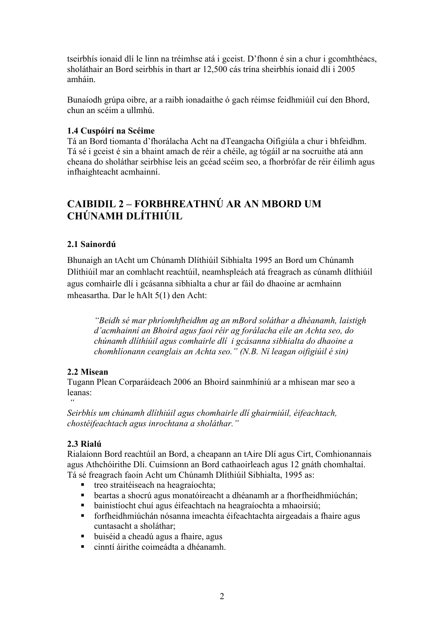tseirbhís ionaid dlí le linn na tréimhse atá i gceist. D'fhonn é sin a chur i gcomhthéacs, sholáthair an Bord seirbhís in thart ar 12,500 cás trína sheirbhís ionaid dlí i 2005 amháin.

Bunaíodh grúpa oibre, ar a raibh ionadaithe ó gach réimse feidhmiúil cuí den Bhord, chun an scéim a ullmhú.

#### 1.4 Cuspóirí na Scéime

Tá an Bord tiomanta d'fhorálacha Acht na dTeangacha Oifigiúla a chur i bhfeidhm. Tá sé i gceist é sin a bhaint amach de réir a chéile, ag tógáil ar na socruithe atá ann cheana do sholáthar seirbhíse leis an gcéad scéim seo, a fhorbrófar de réir éilimh agus infhaighteacht acmhainní.

## CAIBIDIL 2 – FORBHREATHNÚ AR AN MBORD UM CHÚNAMH DLÍTHIÚIL

#### 2.1 Sainordú

Bhunaigh an tAcht um Chúnamh Dlíthiúil Sibhialta 1995 an Bord um Chúnamh Dlíthiúil mar an comhlacht reachtúil, neamhspleách atá freagrach as cúnamh dlíthiúil agus comhairle dlí i gcásanna sibhialta a chur ar fáil do dhaoine ar acmhainn mheasartha. Dar le hAlt 5(1) den Acht:

"Beidh sé mar phríomhfheidhm ag an mBord soláthar a dhéanamh, laistigh d'acmhainní an Bhoird agus faoi réir ag forálacha eile an Achta seo, do chúnamh dlíthiúil agus comhairle dlí i gcásanna sibhialta do dhaoine a chomhlíonann ceanglais an Achta seo." (N.B. Ní leagan oifigiúil é sin)

#### 2.2 Misean

Tugann Plean Corparáideach 2006 an Bhoird sainmhíniú ar a mhisean mar seo a leanas:

 $^{\epsilon\epsilon}$ Seirbhís um chúnamh dlíthiúil agus chomhairle dlí ghairmiúil, éifeachtach, chostéifeachtach agus inrochtana a sholáthar."

#### 2.3 Rialú

Rialaíonn Bord reachtúil an Bord, a cheapann an tAire Dlí agus Cirt, Comhionannais agus Athchóirithe Dlí. Cuimsíonn an Bord cathaoirleach agus 12 gnáth chomhaltaí. Tá sé freagrach faoin Acht um Chúnamh Dlíthiúil Sibhialta, 1995 as:

- treo straitéiseach na heagraíochta;<br>■ heartas a shocrú agus monatóireaci
- beartas a shocrú agus monatóireacht a dhéanamh ar a fhorfheidhmiúchán;
- bainistíocht chuí agus éifeachtach na heagraíochta a mhaoirsiú;
- forfheidhmiúchán nósanna imeachta éifeachtachta airgeadais a fhaire agus cuntasacht a sholáthar;
- buiséid a cheadú agus a fhaire, agus
- cinntí áirithe coimeádta a dhéanamh.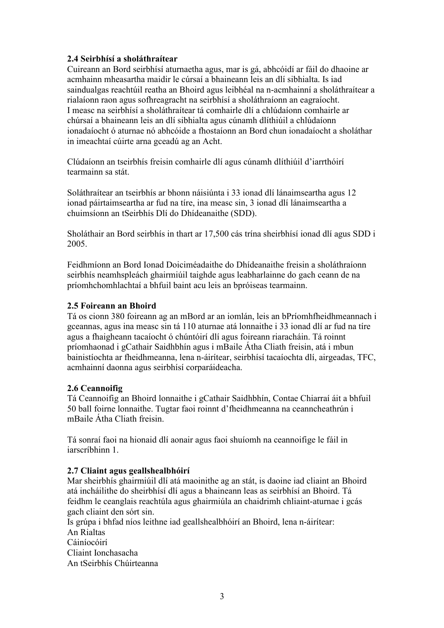#### 2.4 Seirbhísí a sholáthraítear

Cuireann an Bord seirbhísí aturnaetha agus, mar is gá, abhcóidí ar fáil do dhaoine ar acmhainn mheasartha maidir le cúrsaí a bhaineann leis an dlí sibhialta. Is iad saindualgas reachtúil reatha an Bhoird agus leibhéal na n-acmhainní a sholáthraítear a rialaíonn raon agus sofhreagracht na seirbhísí a sholáthraíonn an eagraíocht. I measc na seirbhísí a sholáthraítear tá comhairle dlí a chlúdaíonn comhairle ar chúrsaí a bhaineann leis an dlí sibhialta agus cúnamh dlíthiúil a chlúdaíonn ionadaíocht ó aturnae nó abhcóide a fhostaíonn an Bord chun ionadaíocht a sholáthar in imeachtaí cúirte arna gceadú ag an Acht.

Clúdaíonn an tseirbhís freisin comhairle dlí agus cúnamh dlíthiúil d'iarrthóirí tearmainn sa stát.

Soláthraítear an tseirbhís ar bhonn náisiúnta i 33 ionad dlí lánaimseartha agus 12 ionad páirtaimseartha ar fud na tíre, ina measc sin, 3 ionad dlí lánaimseartha a chuimsíonn an tSeirbhís Dlí do Dhídeanaithe (SDD).

Sholáthair an Bord seirbhís in thart ar 17,500 cás trína sheirbhísí ionad dlí agus SDD i 2005.

Feidhmíonn an Bord Ionad Doiciméadaithe do Dhídeanaithe freisin a sholáthraíonn seirbhís neamhspleách ghairmiúil taighde agus leabharlainne do gach ceann de na príomhchomhlachtaí a bhfuil baint acu leis an bpróiseas tearmainn.

#### 2.5 Foireann an Bhoird

Tá os cionn 380 foireann ag an mBord ar an iomlán, leis an bPríomhfheidhmeannach i gceannas, agus ina measc sin tá 110 aturnae atá lonnaithe i 33 ionad dlí ar fud na tíre agus a fhaigheann tacaíocht ó chúntóirí dlí agus foireann riaracháin. Tá roinnt príomhaonad i gCathair Saidhbhín agus i mBaile Átha Cliath freisin, atá i mbun bainistíochta ar fheidhmeanna, lena n-áirítear, seirbhísí tacaíochta dlí, airgeadas, TFC, acmhainní daonna agus seirbhísí corparáideacha.

#### 2.6 Ceannoifig

Tá Ceannoifig an Bhoird lonnaithe i gCathair Saidhbhín, Contae Chiarraí áit a bhfuil 50 ball foirne lonnaithe. Tugtar faoi roinnt d'fheidhmeanna na ceanncheathrún i mBaile Átha Cliath freisin.

Tá sonraí faoi na hionaid dlí aonair agus faoi shuíomh na ceannoifige le fáil in iarscríbhinn 1.

#### 2.7 Cliaint agus geallshealbhóirí

Mar sheirbhís ghairmiúil dlí atá maoinithe ag an stát, is daoine iad cliaint an Bhoird atá incháilithe do sheirbhísí dlí agus a bhaineann leas as seirbhísí an Bhoird. Tá feidhm le ceanglais reachtúla agus ghairmiúla an chaidrimh chliaint-aturnae i gcás gach cliaint den sórt sin.

Is grúpa i bhfad níos leithne iad geallshealbhóirí an Bhoird, lena n-áirítear: An Rialtas Cáiníocóirí Cliaint Ionchasacha An tSeirbhís Chúirteanna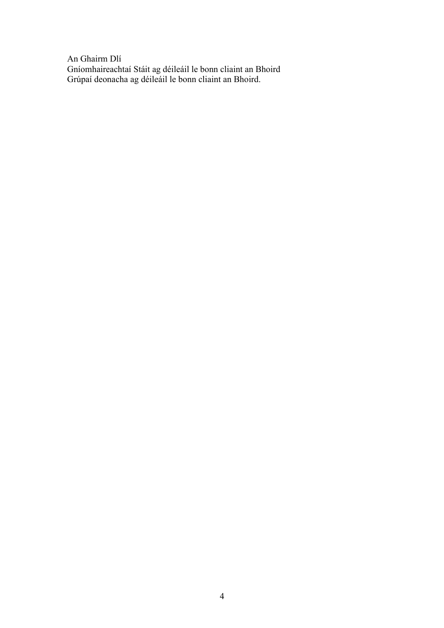An Ghairm Dlí Gníomhaireachtaí Stáit ag déileáil le bonn cliaint an Bhoird Grúpaí deonacha ag déileáil le bonn cliaint an Bhoird.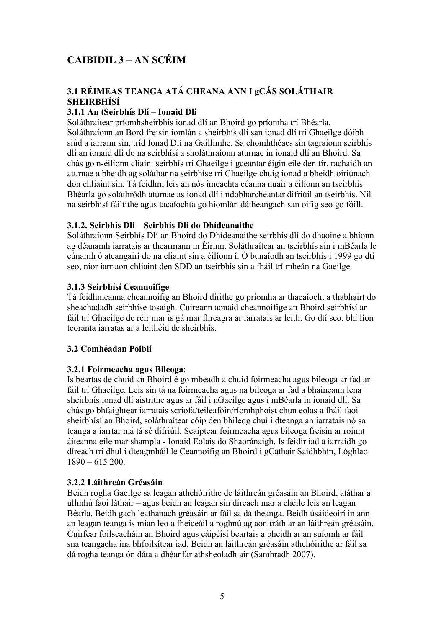## CAIBIDIL 3 – AN SCÉIM

### 3.1 RÉIMEAS TEANGA ATÁ CHEANA ANN I gCÁS SOLÁTHAIR SHEIRBHÍSÍ

#### 3.1.1 An tSeirbhís Dlí – Ionaid Dlí

Soláthraítear príomhsheirbhís ionad dlí an Bhoird go príomha trí Bhéarla. Soláthraíonn an Bord freisin iomlán a sheirbhís dlí san ionad dlí trí Ghaeilge dóibh siúd a iarrann sin, tríd Ionad Dlí na Gaillimhe. Sa chomhthéacs sin tagraíonn seirbhís dlí an ionaid dlí do na seirbhísí a sholáthraíonn aturnae in ionaid dlí an Bhoird. Sa chás go n-éilíonn cliaint seirbhís trí Ghaeilge i gceantar éigin eile den tír, rachaidh an aturnae a bheidh ag soláthar na seirbhíse trí Ghaeilge chuig ionad a bheidh oiriúnach don chliaint sin. Tá feidhm leis an nós imeachta céanna nuair a éilíonn an tseirbhís Bhéarla go soláthródh aturnae as ionad dlí i ndobharcheantar difriúil an tseirbhís. Níl na seirbhísí fáiltithe agus tacaíochta go hiomlán dátheangach san oifig seo go fóill.

#### 3.1.2. Seirbhís Dlí – Seirbhís Dlí do Dhídeanaithe

Soláthraíonn Seirbhís Dlí an Bhoird do Dhídeanaithe seirbhís dlí do dhaoine a bhíonn ag déanamh iarratais ar thearmann in Éirinn. Soláthraítear an tseirbhís sin i mBéarla le cúnamh ó ateangairí do na cliaint sin a éilíonn í. Ó bunaíodh an tseirbhís i 1999 go dtí seo, níor iarr aon chliaint den SDD an tseirbhís sin a fháil trí mheán na Gaeilge.

#### 3.1.3 Seirbhísí Ceannoifige

Tá feidhmeanna cheannoifig an Bhoird dírithe go príomha ar thacaíocht a thabhairt do sheachadadh seirbhíse tosaigh. Cuireann aonaid cheannoifige an Bhoird seirbhísí ar fáil trí Ghaeilge de réir mar is gá mar fhreagra ar iarratais ar leith. Go dtí seo, bhí líon teoranta iarratas ar a leithéid de sheirbhís.

#### 3.2 Comhéadan Poiblí

#### 3.2.1 Foirmeacha agus Bileoga:

Is beartas de chuid an Bhoird é go mbeadh a chuid foirmeacha agus bileoga ar fad ar fáil trí Ghaeilge. Leis sin tá na foirmeacha agus na bileoga ar fad a bhaineann lena sheirbhís ionad dlí aistrithe agus ar fáil i nGaeilge agus i mBéarla in ionaid dlí. Sa chás go bhfaightear iarratais scríofa/teileafóin/ríomhphoist chun eolas a fháil faoi sheirbhísí an Bhoird, soláthraítear cóip den bhileog chuí i dteanga an iarratais nó sa teanga a iarrtar má tá sé difriúil. Scaiptear foirmeacha agus bileoga freisin ar roinnt áiteanna eile mar shampla - Ionaid Eolais do Shaoránaigh. Is féidir iad a iarraidh go díreach trí dhul i dteagmháil le Ceannoifig an Bhoird i gCathair Saidhbhín, Lóghlao  $1890 - 615200$ .

#### 3.2.2 Láithreán Gréasáin

Beidh rogha Gaeilge sa leagan athchóirithe de láithreán gréasáin an Bhoird, atáthar a ullmhú faoi láthair – agus beidh an leagan sin díreach mar a chéile leis an leagan Béarla. Beidh gach leathanach gréasáin ar fáil sa dá theanga. Beidh úsáideoirí in ann an leagan teanga is mian leo a fheiceáil a roghnú ag aon tráth ar an láithreán gréasáin. Cuirfear foilseacháin an Bhoird agus cáipéisí beartais a bheidh ar an suíomh ar fáil sna teangacha ina bhfoilsítear iad. Beidh an láithreán gréasáin athchóirithe ar fáil sa dá rogha teanga ón dáta a dhéanfar athsheoladh air (Samhradh 2007).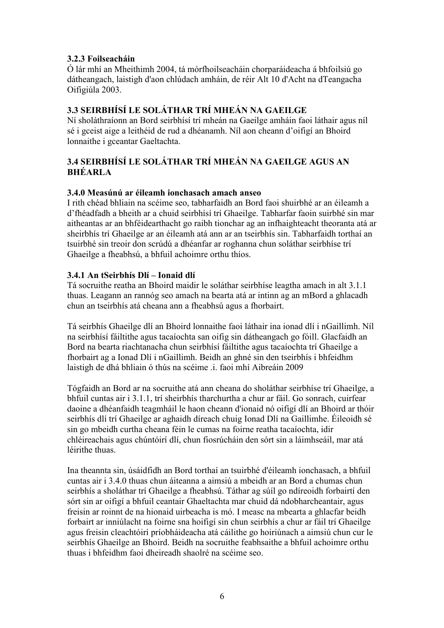#### 3.2.3 Foilseacháin

Ó lár mhí an Mheithimh 2004, tá mórfhoilseacháin chorparáideacha á bhfoilsiú go dátheangach, laistigh d'aon chlúdach amháin, de réir Alt 10 d'Acht na dTeangacha Oifigiúla 2003.

#### 3.3 SEIRBHÍSÍ LE SOLÁTHAR TRÍ MHEÁN NA GAEILGE

Ní sholáthraíonn an Bord seirbhísí trí mheán na Gaeilge amháin faoi láthair agus níl sé i gceist aige a leithéid de rud a dhéanamh. Níl aon cheann d'oifigí an Bhoird lonnaithe i gceantar Gaeltachta.

#### 3.4 SEIRBHÍSÍ LE SOLÁTHAR TRÍ MHEÁN NA GAEILGE AGUS AN BHÉARLA

#### 3.4.0 Measúnú ar éileamh ionchasach amach anseo

I rith chéad bhliain na scéime seo, tabharfaidh an Bord faoi shuirbhé ar an éileamh a d'fhéadfadh a bheith ar a chuid seirbhísí trí Ghaeilge. Tabharfar faoin suirbhé sin mar aitheantas ar an bhféidearthacht go raibh tionchar ag an infhaighteacht theoranta atá ar sheirbhís trí Ghaeilge ar an éileamh atá ann ar an tseirbhís sin. Tabharfaidh torthaí an tsuirbhé sin treoir don scrúdú a dhéanfar ar roghanna chun soláthar seirbhíse trí Ghaeilge a fheabhsú, a bhfuil achoimre orthu thíos.

#### 3.4.1 An tSeirbhís Dlí – Ionaid dlí

Tá socruithe reatha an Bhoird maidir le soláthar seirbhíse leagtha amach in alt 3.1.1 thuas. Leagann an rannóg seo amach na bearta atá ar intinn ag an mBord a ghlacadh chun an tseirbhís atá cheana ann a fheabhsú agus a fhorbairt.

Tá seirbhís Ghaeilge dlí an Bhoird lonnaithe faoi láthair ina ionad dlí i nGaillimh. Níl na seirbhísí fáiltithe agus tacaíochta san oifig sin dátheangach go fóill. Glacfaidh an Bord na bearta riachtanacha chun seirbhísí fáiltithe agus tacaíochta trí Ghaeilge a fhorbairt ag a Ionad Dlí i nGaillimh. Beidh an ghné sin den tseirbhís i bhfeidhm laistigh de dhá bhliain ó thús na scéime .i. faoi mhí Aibreáin 2009

Tógfaidh an Bord ar na socruithe atá ann cheana do sholáthar seirbhíse trí Ghaeilge, a bhfuil cuntas air i 3.1.1, trí sheirbhís tharchurtha a chur ar fáil. Go sonrach, cuirfear daoine a dhéanfaidh teagmháil le haon cheann d'ionaid nó oifigí dlí an Bhoird ar thóir seirbhís dlí trí Ghaeilge ar aghaidh díreach chuig Ionad Dlí na Gaillimhe. Éileoidh sé sin go mbeidh curtha cheana féin le cumas na foirne reatha tacaíochta, idir chléireachais agus chúntóirí dlí, chun fiosrúcháin den sórt sin a láimhseáil, mar atá léirithe thuas.

Ina theannta sin, úsáidfidh an Bord torthaí an tsuirbhé d'éileamh ionchasach, a bhfuil cuntas air i 3.4.0 thuas chun áiteanna a aimsiú a mbeidh ar an Bord a chumas chun seirbhís a sholáthar trí Ghaeilge a fheabhsú. Táthar ag súíl go ndíreoidh forbairtí den sórt sin ar oifigí a bhfuil ceantair Ghaeltachta mar chuid dá ndobharcheantair, agus freisin ar roinnt de na hionaid uirbeacha is mó. I measc na mbearta a ghlacfar beidh forbairt ar inniúlacht na foirne sna hoifigí sin chun seirbhís a chur ar fáil trí Ghaeilge agus freisin cleachtóirí príobháideacha atá cáilithe go hoiriúnach a aimsiú chun cur le seirbhís Ghaeilge an Bhoird. Beidh na socruithe feabhsaithe a bhfuil achoimre orthu thuas i bhfeidhm faoi dheireadh shaolré na scéime seo.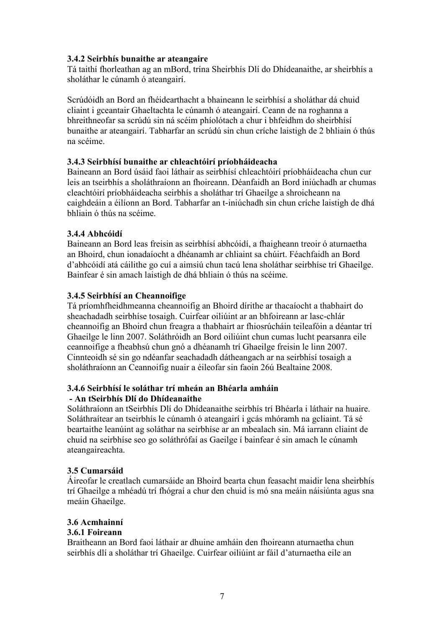#### 3.4.2 Seirbhís bunaithe ar ateangaire

Tá taithí fhorleathan ag an mBord, trína Sheirbhís Dlí do Dhídeanaithe, ar sheirbhís a sholáthar le cúnamh ó ateangairí.

Scrúdóidh an Bord an fhéidearthacht a bhaineann le seirbhísí a sholáthar dá chuid cliaint i gceantair Ghaeltachta le cúnamh ó ateangairí. Ceann de na roghanna a bhreithneofar sa scrúdú sin ná scéim phíolótach a chur i bhfeidhm do sheirbhísí bunaithe ar ateangairí. Tabharfar an scrúdú sin chun críche laistigh de 2 bhliain ó thús na scéime.

#### 3.4.3 Seirbhísí bunaithe ar chleachtóirí príobháideacha

Baineann an Bord úsáid faoi láthair as seirbhísí chleachtóirí príobháideacha chun cur leis an tseirbhís a sholáthraíonn an fhoireann. Déanfaidh an Bord iniúchadh ar chumas cleachtóirí príobháideacha seirbhís a sholáthar trí Ghaeilge a shroicheann na caighdeáin a éilíonn an Bord. Tabharfar an t-iniúchadh sin chun críche laistigh de dhá bhliain ó thús na scéime.

#### 3.4.4 Abhcóidí

Baineann an Bord leas freisin as seirbhísí abhcóidí, a fhaigheann treoir ó aturnaetha an Bhoird, chun ionadaíocht a dhéanamh ar chliaint sa chúirt. Féachfaidh an Bord d'abhcóidí atá cáilithe go cuí a aimsiú chun tacú lena sholáthar seirbhíse trí Ghaeilge. Bainfear é sin amach laistigh de dhá bhliain ó thús na scéime.

#### 3.4.5 Seirbhísí an Cheannoifige

Tá príomhfheidhmeanna cheannoifig an Bhoird dírithe ar thacaíocht a thabhairt do sheachadadh seirbhíse tosaigh. Cuirfear oiliúint ar an bhfoireann ar lasc-chlár cheannoifig an Bhoird chun freagra a thabhairt ar fhiosrúcháin teileafóin a déantar trí Ghaeilge le linn 2007. Soláthróidh an Bord oiliúint chun cumas lucht pearsanra eile ceannoifige a fheabhsú chun gnó a dhéanamh trí Ghaeilge freisin le linn 2007. Cinnteoidh sé sin go ndéanfar seachadadh dátheangach ar na seirbhísí tosaigh a sholáthraíonn an Ceannoifig nuair a éileofar sin faoin 26ú Bealtaine 2008.

#### 3.4.6 Seirbhísí le soláthar trí mheán an Bhéarla amháin - An tSeirbhís Dlí do Dhídeanaithe

Soláthraíonn an tSeirbhís Dlí do Dhídeanaithe seirbhís trí Bhéarla i láthair na huaire. Soláthraítear an tseirbhís le cúnamh ó ateangairí i gcás mhóramh na gcliaint. Tá sé beartaithe leanúint ag soláthar na seirbhíse ar an mbealach sin. Má iarrann cliaint de chuid na seirbhíse seo go soláthrófaí as Gaeilge í bainfear é sin amach le cúnamh ateangaireachta.

#### 3.5 Cumarsáid

Áireofar le creatlach cumarsáide an Bhoird bearta chun feasacht maidir lena sheirbhís trí Ghaeilge a mhéadú trí fhógraí a chur den chuid is mó sna meáin náisiúnta agus sna meáin Ghaeilge.

#### 3.6 Acmhainní

#### 3.6.1 Foireann

Braitheann an Bord faoi láthair ar dhuine amháin den fhoireann aturnaetha chun seirbhís dlí a sholáthar trí Ghaeilge. Cuirfear oiliúint ar fáil d'aturnaetha eile an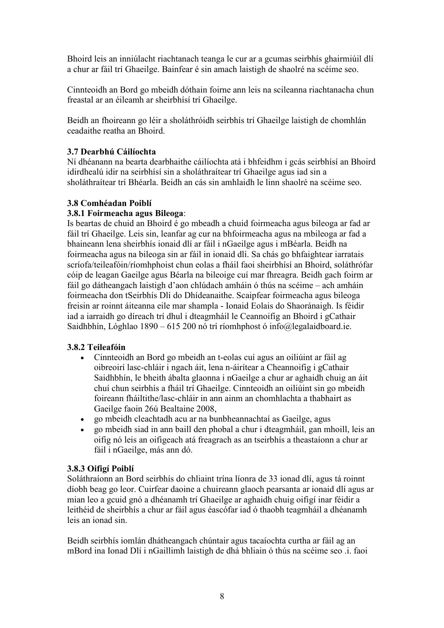Bhoird leis an inniúlacht riachtanach teanga le cur ar a gcumas seirbhís ghairmiúil dlí a chur ar fáil trí Ghaeilge. Bainfear é sin amach laistigh de shaolré na scéime seo.

Cinnteoidh an Bord go mbeidh dóthain foirne ann leis na scileanna riachtanacha chun freastal ar an éileamh ar sheirbhísí trí Ghaeilge.

Beidh an fhoireann go léir a sholáthróidh seirbhís trí Ghaeilge laistigh de chomhlán ceadaithe reatha an Bhoird.

#### 3.7 Dearbhú Cáilíochta

Ní dhéanann na bearta dearbhaithe cáilíochta atá i bhfeidhm i gcás seirbhísí an Bhoird idirdhealú idir na seirbhísí sin a sholáthraítear trí Ghaeilge agus iad sin a sholáthraítear trí Bhéarla. Beidh an cás sin amhlaidh le linn shaolré na scéime seo.

#### 3.8 Comhéadan Poiblí

#### 3.8.1 Foirmeacha agus Bileoga:

Is beartas de chuid an Bhoird é go mbeadh a chuid foirmeacha agus bileoga ar fad ar fáil trí Ghaeilge. Leis sin, leanfar ag cur na bhfoirmeacha agus na mbileoga ar fad a bhaineann lena sheirbhís ionaid dlí ar fáil i nGaeilge agus i mBéarla. Beidh na foirmeacha agus na bileoga sin ar fáil in ionaid dlí. Sa chás go bhfaightear iarratais scríofa/teileafóin/ríomhphoist chun eolas a fháil faoi sheirbhísí an Bhoird, soláthrófar cóip de leagan Gaeilge agus Béarla na bileoige cuí mar fhreagra. Beidh gach foirm ar fáil go dátheangach laistigh d'aon chlúdach amháin ó thús na scéime – ach amháin foirmeacha don tSeirbhís Dlí do Dhídeanaithe. Scaipfear foirmeacha agus bileoga freisin ar roinnt áiteanna eile mar shampla - Ionaid Eolais do Shaoránaigh. Is féidir iad a iarraidh go díreach trí dhul i dteagmháil le Ceannoifig an Bhoird i gCathair Saidhbhín, Lóghlao 1890 – 615 200 nó trí ríomhphost ó info@legalaidboard.ie.

#### 3.8.2 Teileafóin

- Cinnteoidh an Bord go mbeidh an t-eolas cuí agus an oiliúint ar fáil ag oibreoirí lasc-chláir i ngach áit, lena n-áirítear a Cheannoifig i gCathair Saidhbhín, le bheith ábalta glaonna i nGaeilge a chur ar aghaidh chuig an áit chuí chun seirbhís a fháil trí Ghaeilge. Cinnteoidh an oiliúint sin go mbeidh foireann fháiltithe/lasc-chláir in ann ainm an chomhlachta a thabhairt as Gaeilge faoin 26ú Bealtaine 2008,
- go mbeidh cleachtadh acu ar na bunbheannachtaí as Gaeilge, agus
- go mbeidh siad in ann baill den phobal a chur i dteagmháil, gan mhoill, leis an oifig nó leis an oifigeach atá freagrach as an tseirbhís a theastaíonn a chur ar fáil i nGaeilge, más ann dó.

#### 3.8.3 Oifigí Poiblí

Soláthraíonn an Bord seirbhís do chliaint trína líonra de 33 ionad dlí, agus tá roinnt díobh beag go leor. Cuirfear daoine a chuireann glaoch pearsanta ar ionaid dlí agus ar mian leo a gcuid gnó a dhéanamh trí Ghaeilge ar aghaidh chuig oifigí inar féidir a leithéid de sheirbhís a chur ar fáil agus éascófar iad ó thaobh teagmháil a dhéanamh leis an ionad sin.

Beidh seirbhís iomlán dhátheangach chúntair agus tacaíochta curtha ar fáil ag an mBord ina Ionad Dlí i nGaillimh laistigh de dhá bhliain ó thús na scéime seo .i. faoi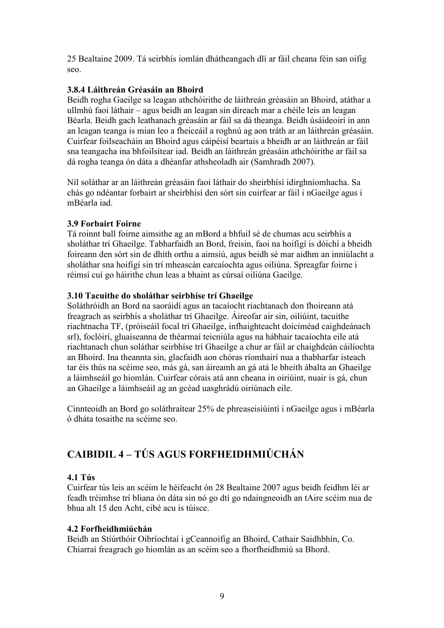25 Bealtaine 2009. Tá seirbhís iomlán dhátheangach dlí ar fáil cheana féin san oifig seo.

#### 3.8.4 Láithreán Gréasáin an Bhoird

Beidh rogha Gaeilge sa leagan athchóirithe de láithreán gréasáin an Bhoird, atáthar a ullmhú faoi láthair – agus beidh an leagan sin díreach mar a chéile leis an leagan Béarla. Beidh gach leathanach gréasáin ar fáil sa dá theanga. Beidh úsáideoirí in ann an leagan teanga is mian leo a fheiceáil a roghnú ag aon tráth ar an láithreán gréasáin. Cuirfear foilseacháin an Bhoird agus cáipéisí beartais a bheidh ar an láithreán ar fáil sna teangacha ina bhfoilsítear iad. Beidh an láithreán gréasáin athchóirithe ar fáil sa dá rogha teanga ón dáta a dhéanfar athsheoladh air (Samhradh 2007).

Níl soláthar ar an láithreán gréasáin faoi láthair do sheirbhísí idirghníomhacha. Sa chás go ndéantar forbairt ar sheirbhísí den sórt sin cuirfear ar fáil i nGaeilge agus i mBéarla iad.

#### 3.9 Forbairt Foirne

Tá roinnt ball foirne aimsithe ag an mBord a bhfuil sé de chumas acu seirbhís a sholáthar trí Ghaeilge. Tabharfaidh an Bord, freisin, faoi na hoifigí is dóichí a bheidh foireann den sórt sin de dhíth orthu a aimsiú, agus beidh sé mar aidhm an inniúlacht a sholáthar sna hoifigí sin trí mheascán earcaíochta agus oiliúna. Spreagfar foirne i réimsí cuí go háirithe chun leas a bhaint as cúrsaí oiliúna Gaeilge.

#### 3.10 Tacuithe do sholáthar seirbhíse trí Ghaeilge

Soláthróidh an Bord na saoráidí agus an tacaíocht riachtanach don fhoireann atá freagrach as seirbhís a sholáthar trí Ghaeilge. Áireofar air sin, oiliúint, tacuithe riachtnacha TF, (próiseáil focal trí Ghaeilge, infhaighteacht doiciméad caighdeánach srl), foclóirí, gluaiseanna de théarmaí teicniúla agus na hábhair tacaíochta eile atá riachtanach chun soláthar seirbhíse trí Ghaeilge a chur ar fáil ar chaighdeán cáilíochta an Bhoird. Ina theannta sin, glacfaidh aon chóras ríomhairí nua a thabharfar isteach tar éis thús na scéime seo, más gá, san áireamh an gá atá le bheith ábalta an Ghaeilge a láimhseáil go hiomlán. Cuirfear córais atá ann cheana in oiriúint, nuair is gá, chun an Ghaeilge a láimhseáil ag an gcéad uasghrádú oiriúnach eile.

Cinnteoidh an Bord go soláthraítear 25% de phreaseisiúintí i nGaeilge agus i mBéarla ó dháta tosaithe na scéime seo.

## CAIBIDIL 4 – TÚS AGUS FORFHEIDHMIÚCHÁN

#### 4.1 Tús

Cuirfear tús leis an scéim le héifeacht ón 28 Bealtaine 2007 agus beidh feidhm léi ar feadh tréimhse trí bliana ón dáta sin nó go dtí go ndaingneoidh an tAire scéim nua de bhua alt 15 den Acht, cibé acu is túisce.

#### 4.2 Forfheidhmiúchán

Beidh an Stiúrthóir Oibríochtaí i gCeannoifig an Bhoird, Cathair Saidhbhín, Co. Chiarraí freagrach go hiomlán as an scéim seo a fhorfheidhmiú sa Bhord.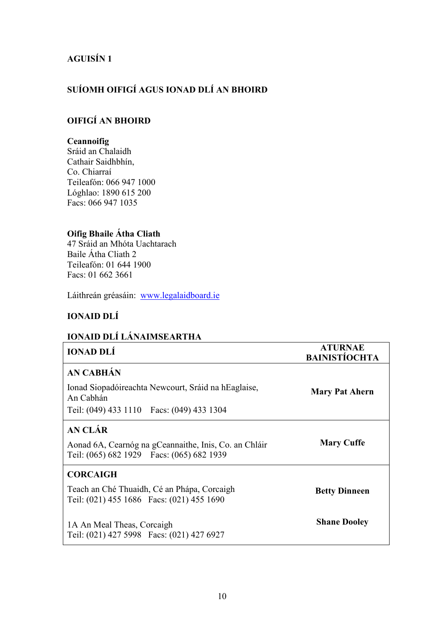## AGUISÍN 1

## SUÍOMH OIFIGÍ AGUS IONAD DLÍ AN BHOIRD

#### OIFIGÍ AN BHOIRD

#### **Ceannoifig**

Sráid an Chalaidh Cathair Saidhbhín, Co. Chiarraí Teileafón: 066 947 1000 Lóghlao: 1890 615 200 Facs: 066 947 1035

## Oifig Bhaile Átha Cliath

47 Sráid an Mhóta Uachtarach Baile Átha Cliath 2 Teileafón: 01 644 1900 Facs: 01 662 3661

Láithreán gréasáin: www.legalaidboard.ie

#### IONAID DLÍ

## IONAID DLÍ LÁNAIMSEARTHA

| <b>IONAD DLÍ</b>                                                                                    | <b>ATURNAE</b><br><b>BAINISTÍOCHTA</b> |
|-----------------------------------------------------------------------------------------------------|----------------------------------------|
| AN CABHÁN                                                                                           |                                        |
| Ionad Siopadóireachta Newcourt, Sráid na hEaglaise,<br>An Cabhán                                    | <b>Mary Pat Ahern</b>                  |
| Teil: (049) 433 1110  Facs: (049) 433 1304                                                          |                                        |
| AN CLÁR                                                                                             |                                        |
| Aonad 6A, Cearnóg na gCeannaithe, Inis, Co. an Chláir<br>Teil: (065) 682 1929  Facs: (065) 682 1939 | <b>Mary Cuffe</b>                      |
| <b>CORCAIGH</b>                                                                                     |                                        |
| Teach an Ché Thuaidh, Cé an Phápa, Corcaigh<br>Teil: (021) 455 1686 Facs: (021) 455 1690            | <b>Betty Dinneen</b>                   |
| 1A An Meal Theas, Corcaigh<br>Teil: (021) 427 5998 Facs: (021) 427 6927                             | <b>Shane Dooley</b>                    |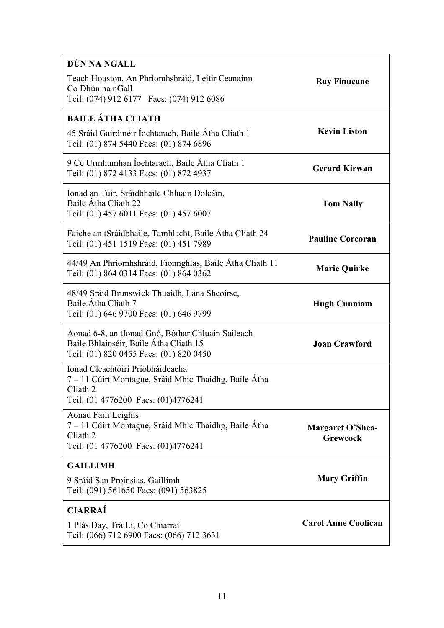| DÚN NA NGALL                                                                                                                                 |                                            |  |
|----------------------------------------------------------------------------------------------------------------------------------------------|--------------------------------------------|--|
| Teach Houston, An Phríomhshráid, Leitir Ceanainn<br>Co Dhún na nGall<br>Teil: (074) 912 6177  Facs: (074) 912 6086                           | <b>Ray Finucane</b>                        |  |
| <b>BAILE ÁTHA CLIATH</b>                                                                                                                     |                                            |  |
| 45 Sráid Gairdinéir Íochtarach, Baile Átha Cliath 1<br>Teil: (01) 874 5440 Facs: (01) 874 6896                                               | <b>Kevin Liston</b>                        |  |
| 9 Cé Urmhumhan Íochtarach, Baile Átha Cliath 1<br>Teil: (01) 872 4133 Facs: (01) 872 4937                                                    | <b>Gerard Kirwan</b>                       |  |
| Ionad an Túir, Sráidbhaile Chluain Dolcáin,<br>Baile Átha Cliath 22<br>Teil: (01) 457 6011 Facs: (01) 457 6007                               | <b>Tom Nally</b>                           |  |
| Faiche an tSráidbhaile, Tamhlacht, Baile Átha Cliath 24<br>Teil: (01) 451 1519 Facs: (01) 451 7989                                           | <b>Pauline Corcoran</b>                    |  |
| 44/49 An Phríomhshráid, Fionnghlas, Baile Átha Cliath 11<br>Teil: (01) 864 0314 Facs: (01) 864 0362                                          | <b>Marie Quirke</b>                        |  |
| 48/49 Sráid Brunswick Thuaidh, Lána Sheoirse,<br>Baile Átha Cliath 7<br>Teil: (01) 646 9700 Facs: (01) 646 9799                              | <b>Hugh Cunniam</b>                        |  |
| Aonad 6-8, an tIonad Gnó, Bóthar Chluain Saileach<br>Baile Bhlainséir, Baile Átha Cliath 15<br>Teil: (01) 820 0455 Facs: (01) 820 0450       | <b>Joan Crawford</b>                       |  |
| Ionad Cleachtóirí Príobháideacha<br>7 – 11 Cúirt Montague, Sráid Mhic Thaidhg, Baile Átha<br>Cliath 2<br>Teil: (01 4776200 Facs: (01)4776241 |                                            |  |
| Aonad Failí Leighis<br>7 – 11 Cúirt Montague, Sráid Mhic Thaidhg, Baile Átha<br>Cliath 2<br>Teil: (01 4776200 Facs: (01)4776241              | <b>Margaret O'Shea-</b><br><b>Grewcock</b> |  |
| <b>GAILLIMH</b>                                                                                                                              |                                            |  |
| 9 Sráid San Proinsias, Gaillimh<br>Teil: (091) 561650 Facs: (091) 563825                                                                     | <b>Mary Griffin</b>                        |  |
| <b>CIARRAÍ</b>                                                                                                                               |                                            |  |
| 1 Plás Day, Trá Lí, Co Chiarraí<br>Teil: (066) 712 6900 Facs: (066) 712 3631                                                                 | <b>Carol Anne Coolican</b>                 |  |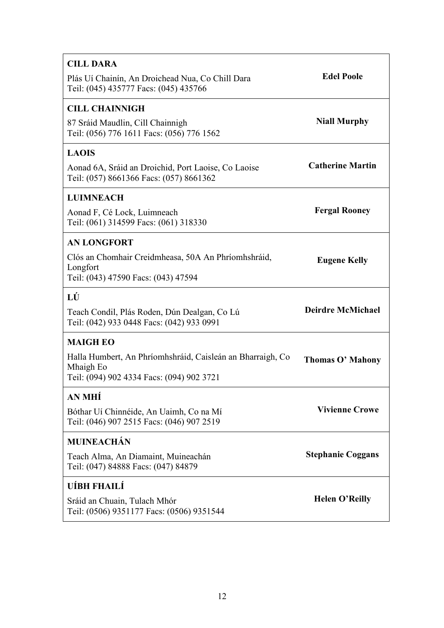| <b>CILL DARA</b><br>Plás Uí Chainín, An Droichead Nua, Co Chill Dara<br>Teil: (045) 435777 Facs: (045) 435766                           | <b>Edel Poole</b>        |
|-----------------------------------------------------------------------------------------------------------------------------------------|--------------------------|
| <b>CILL CHAINNIGH</b><br>87 Sráid Maudlin, Cill Chainnigh<br>Teil: (056) 776 1611 Facs: (056) 776 1562                                  | <b>Niall Murphy</b>      |
| <b>LAOIS</b><br>Aonad 6A, Sráid an Droichid, Port Laoise, Co Laoise<br>Teil: (057) 8661366 Facs: (057) 8661362                          | <b>Catherine Martin</b>  |
| <b>LUIMNEACH</b><br>Aonad F, Cé Lock, Luimneach<br>Teil: (061) 314599 Facs: (061) 318330                                                | <b>Fergal Rooney</b>     |
| <b>AN LONGFORT</b><br>Clós an Chomhair Creidmheasa, 50A An Phríomhshráid,<br>Longfort<br>Teil: (043) 47590 Facs: (043) 47594            | <b>Eugene Kelly</b>      |
| LÚ<br>Teach Condil, Plás Roden, Dún Dealgan, Co Lú<br>Teil: (042) 933 0448 Facs: (042) 933 0991                                         | <b>Deirdre McMichael</b> |
| <b>MAIGH EO</b><br>Halla Humbert, An Phríomhshráid, Caisleán an Bharraigh, Co<br>Mhaigh Eo<br>Teil: (094) 902 4334 Facs: (094) 902 3721 | <b>Thomas O' Mahony</b>  |
| AN MHÍ<br>Bóthar Uí Chinnéide, An Uaimh, Co na Mí<br>Teil: (046) 907 2515 Facs: (046) 907 2519                                          | <b>Vivienne Crowe</b>    |
| <b>MUINEACHÁN</b><br>Teach Alma, An Diamaint, Muineachán<br>Teil: (047) 84888 Facs: (047) 84879                                         | <b>Stephanie Coggans</b> |
| UÍBH FHAILÍ<br>Sráid an Chuain, Tulach Mhór<br>Teil: (0506) 9351177 Facs: (0506) 9351544                                                | <b>Helen O'Reilly</b>    |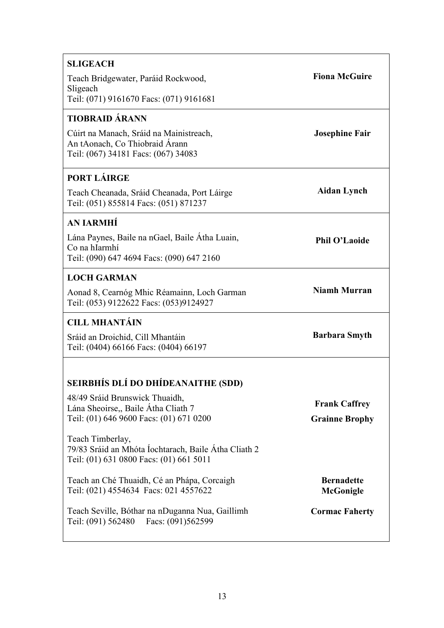| <b>SLIGEACH</b>                                                                                                     |                                               |
|---------------------------------------------------------------------------------------------------------------------|-----------------------------------------------|
| Teach Bridgewater, Paráid Rockwood,                                                                                 | <b>Fiona McGuire</b>                          |
| Sligeach<br>Teil: (071) 9161670 Facs: (071) 9161681                                                                 |                                               |
| <b>TIOBRAID ÁRANN</b>                                                                                               |                                               |
| Cúirt na Manach, Sráid na Mainistreach,<br>An tAonach, Co Thiobraid Árann<br>Teil: (067) 34181 Facs: (067) 34083    | <b>Josephine Fair</b>                         |
| PORT LÁIRGE                                                                                                         |                                               |
| Teach Cheanada, Sráid Cheanada, Port Láirge<br>Teil: (051) 855814 Facs: (051) 871237                                | <b>Aidan Lynch</b>                            |
| <b>AN JARMHÍ</b>                                                                                                    |                                               |
| Lána Paynes, Baile na nGael, Baile Átha Luain,<br>Co na hIarmhí<br>Teil: (090) 647 4694 Facs: (090) 647 2160        | <b>Phil O'Laoide</b>                          |
| <b>LOCH GARMAN</b>                                                                                                  |                                               |
| Aonad 8, Cearnóg Mhic Réamainn, Loch Garman<br>Teil: (053) 9122622 Facs: (053)9124927                               | <b>Niamh Murran</b>                           |
| <b>CILL MHANTÁIN</b>                                                                                                |                                               |
| Sráid an Droichid, Cill Mhantáin<br>Teil: (0404) 66166 Facs: (0404) 66197                                           | <b>Barbara Smyth</b>                          |
| SEIRBHÍS DLÍ DO DHÍDEANAITHE (SDD)                                                                                  |                                               |
| 48/49 Sráid Brunswick Thuaidh,                                                                                      |                                               |
| Lána Sheoirse,, Baile Átha Cliath 7<br>Teil: (01) 646 9600 Facs: (01) 671 0200                                      | <b>Frank Caffrey</b><br><b>Grainne Brophy</b> |
| Teach Timberlay,<br>79/83 Sráid an Mhóta Íochtarach, Baile Átha Cliath 2<br>Teil: (01) 631 0800 Facs: (01) 661 5011 |                                               |
| Teach an Ché Thuaidh, Cé an Phápa, Corcaigh<br>Teil: (021) 4554634 Facs: 021 4557622                                | <b>Bernadette</b><br>McGonigle                |
| Teach Seville, Bóthar na nDuganna Nua, Gaillimh<br>Teil: (091) 562480  Facs: (091) 562599                           | <b>Cormac Faherty</b>                         |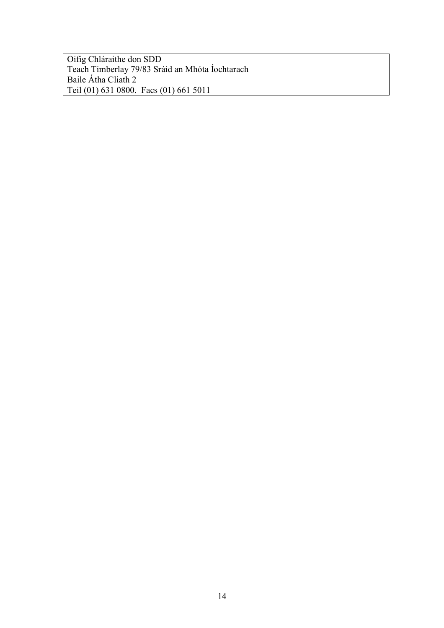Oifig Chláraithe don SDD Teach Timberlay 79/83 Sráid an Mhóta Íochtarach Baile Átha Cliath 2 Teil (01) 631 0800. Facs (01) 661 5011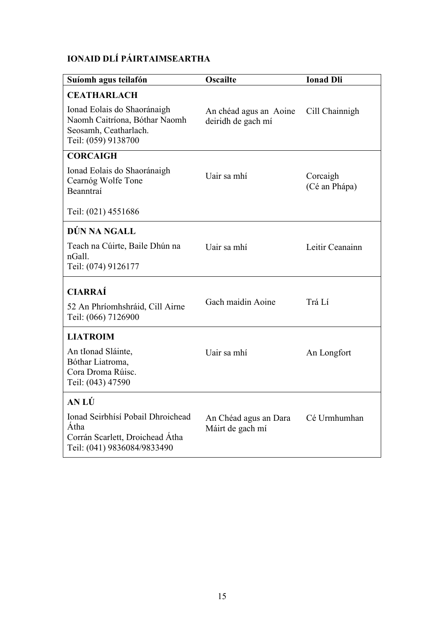## IONAID DLÍ PÁIRTAIMSEARTHA

| Suíomh agus teilafón                                                                                         | <b>Oscailte</b>                              | <b>Ionad Dli</b>          |
|--------------------------------------------------------------------------------------------------------------|----------------------------------------------|---------------------------|
| <b>CEATHARLACH</b>                                                                                           |                                              |                           |
| Ionad Eolais do Shaoránaigh<br>Naomh Caitríona, Bóthar Naomh<br>Seosamh, Ceatharlach.<br>Teil: (059) 9138700 | An chéad agus an Aoine<br>deiridh de gach mí | Cill Chainnigh            |
| <b>CORCAIGH</b>                                                                                              |                                              |                           |
| Ionad Eolais do Shaoránaigh<br>Cearnóg Wolfe Tone<br>Beanntraí                                               | Uair sa mhí                                  | Corcaigh<br>(Cé an Phápa) |
| Teil: (021) 4551686                                                                                          |                                              |                           |
| DÚN NA NGALL                                                                                                 |                                              |                           |
| Teach na Cúirte, Baile Dhún na<br>nGall.<br>Teil: (074) 9126177                                              | Uair sa mhí                                  | Leitir Ceanainn           |
| <b>CIARRAÍ</b>                                                                                               |                                              |                           |
| 52 An Phríomhshráid, Cill Airne<br>Teil: (066) 7126900                                                       | Gach maidin Aoine                            | Trá Lí                    |
| <b>LIATROIM</b>                                                                                              |                                              |                           |
| An tIonad Sláinte,<br>Bóthar Liatroma,<br>Cora Droma Rúisc.<br>Teil: (043) 47590                             | Uair sa mhí                                  | An Longfort               |
| <b>AN LÚ</b>                                                                                                 |                                              |                           |
| Ionad Seirbhísí Pobail Dhroichead<br>Átha<br>Corrán Scarlett, Droichead Átha<br>Teil: (041) 9836084/9833490  | An Chéad agus an Dara<br>Máirt de gach mí    | Cé Urmhumhan              |